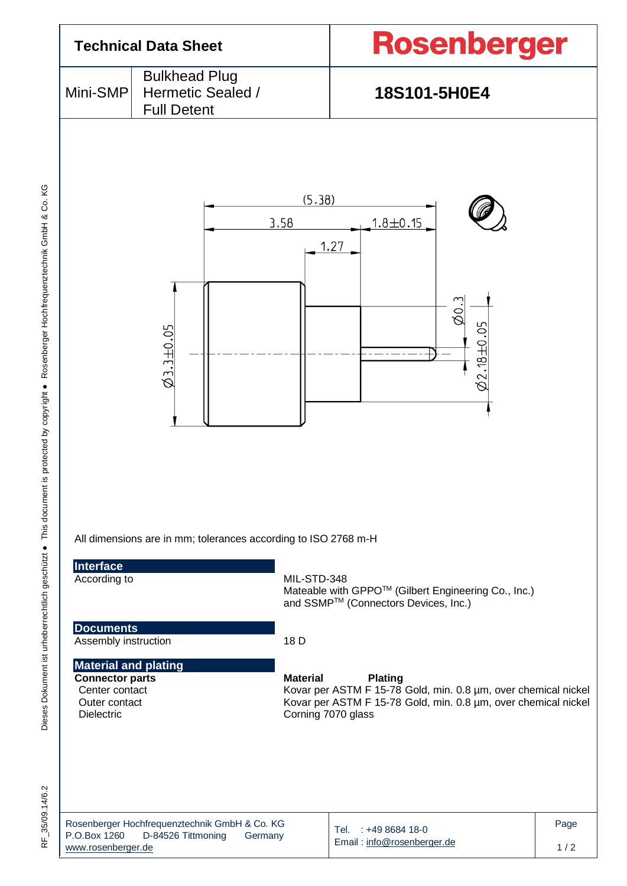| <b>Technical Data Sheet</b>                                                                                          |                                                                                     | <b>Rosenberger</b>                                                                                         |                                                                                                                                                                          |             |
|----------------------------------------------------------------------------------------------------------------------|-------------------------------------------------------------------------------------|------------------------------------------------------------------------------------------------------------|--------------------------------------------------------------------------------------------------------------------------------------------------------------------------|-------------|
| Mini-SMP                                                                                                             | <b>Bulkhead Plug</b><br>Hermetic Sealed /<br><b>Full Detent</b>                     |                                                                                                            | 18S101-5H0E4                                                                                                                                                             |             |
|                                                                                                                      | 3.58<br>Ø3.3±0.05<br>All dimensions are in mm; tolerances according to ISO 2768 m-H | (5.38)                                                                                                     | $1.8 + 0.15$<br>1.27<br>~.<br>$\overline{\varnothing}$<br>Ø2.18±0.05                                                                                                     |             |
| Interface<br>According to                                                                                            |                                                                                     | MIL-STD-348<br>Mateable with GPPO™ (Gilbert Engineering Co., Inc.)<br>and SSMP™ (Connectors Devices, Inc.) |                                                                                                                                                                          |             |
| <b>Documents</b><br>Assembly instruction                                                                             |                                                                                     | 18 D                                                                                                       |                                                                                                                                                                          |             |
| <b>Material and plating</b><br><b>Connector parts</b><br>Center contact<br>Outer contact<br><b>Dielectric</b>        |                                                                                     | <b>Material</b>                                                                                            | <b>Plating</b><br>Kovar per ASTM F 15-78 Gold, min. 0.8 µm, over chemical nickel<br>Kovar per ASTM F 15-78 Gold, min. 0.8 µm, over chemical nickel<br>Corning 7070 glass |             |
| Rosenberger Hochfrequenztechnik GmbH & Co. KG<br>P.O.Box 1260<br>D-84526 Tittmoning<br>Germany<br>www.rosenberger.de |                                                                                     |                                                                                                            | Tel. : +49 8684 18-0<br>Email: info@rosenberger.de                                                                                                                       | Page<br>1/2 |

RF\_35/09.14/6.2